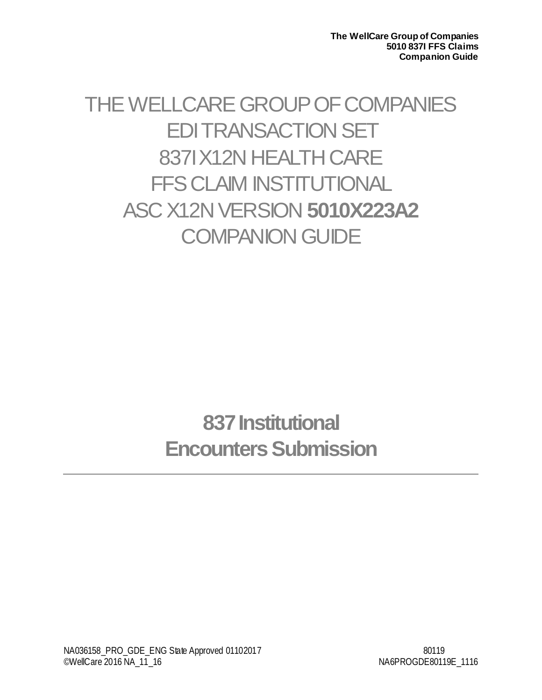THE WELLCARE GROUP OF COMPANIES EDI TRANSACTION SET 837I X12N HEALTH CARE FFS CLAIM INSTITUTIONAL ASC X12N VERSION **5010X223A2 COMPANION GUIDE** 

> **837 Institutional Encounters Submission**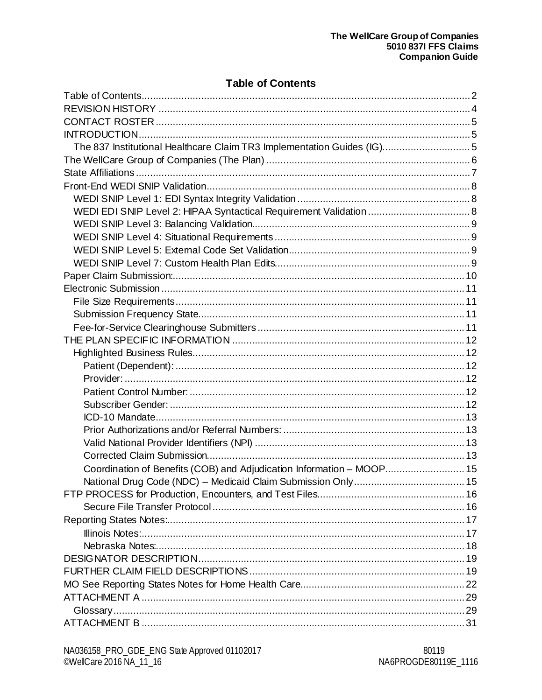# **Table of Contents**

<span id="page-1-0"></span>

| The 837 Institutional Healthcare Claim TR3 Implementation Guides (IG) 5 |  |
|-------------------------------------------------------------------------|--|
|                                                                         |  |
|                                                                         |  |
|                                                                         |  |
|                                                                         |  |
|                                                                         |  |
|                                                                         |  |
|                                                                         |  |
|                                                                         |  |
|                                                                         |  |
|                                                                         |  |
|                                                                         |  |
|                                                                         |  |
|                                                                         |  |
|                                                                         |  |
|                                                                         |  |
|                                                                         |  |
|                                                                         |  |
|                                                                         |  |
|                                                                         |  |
|                                                                         |  |
|                                                                         |  |
|                                                                         |  |
|                                                                         |  |
|                                                                         |  |
| Coordination of Benefits (COB) and Adjudication Information - MOOP 15   |  |
|                                                                         |  |
|                                                                         |  |
|                                                                         |  |
|                                                                         |  |
|                                                                         |  |
|                                                                         |  |
|                                                                         |  |
|                                                                         |  |
|                                                                         |  |
|                                                                         |  |
|                                                                         |  |
|                                                                         |  |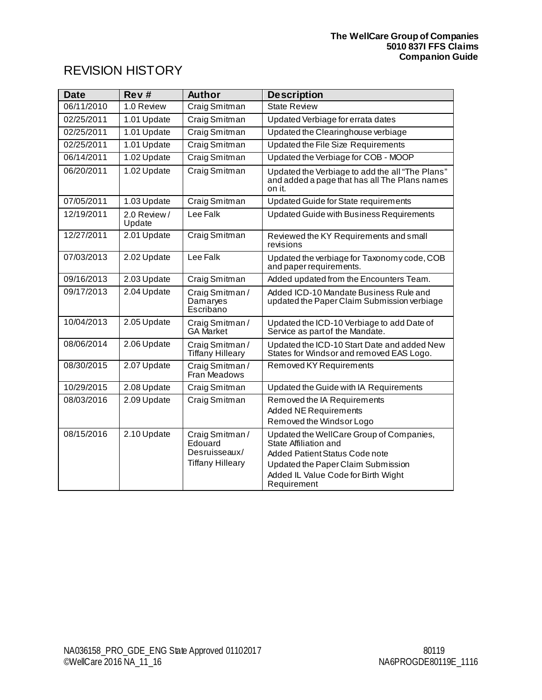# <span id="page-3-0"></span>REVISION HISTORY

| <b>Date</b> | Rev#                  | <b>Author</b>                                                         | <b>Description</b>                                                                                                                                                                                     |
|-------------|-----------------------|-----------------------------------------------------------------------|--------------------------------------------------------------------------------------------------------------------------------------------------------------------------------------------------------|
| 06/11/2010  | 1.0 Review            | Craig Smitman                                                         | <b>State Review</b>                                                                                                                                                                                    |
| 02/25/2011  | 1.01 Update           | Craig Smitman                                                         | Updated Verbiage for errata dates                                                                                                                                                                      |
| 02/25/2011  | 1.01 Update           | Craig Smitman                                                         | Updated the Clearinghouse verbiage                                                                                                                                                                     |
| 02/25/2011  | 1.01 Update           | Craig Smitman                                                         | Updated the File Size Requirements                                                                                                                                                                     |
| 06/14/2011  | 1.02 Update           | Craig Smitman                                                         | Updated the Verbiage for COB - MOOP                                                                                                                                                                    |
| 06/20/2011  | 1.02 Update           | Craig Smitman                                                         | Updated the Verbiage to add the all "The Plans"<br>and added a page that has all The Plans names<br>on it.                                                                                             |
| 07/05/2011  | 1.03 Update           | Craig Smitman                                                         | Updated Guide for State requirements                                                                                                                                                                   |
| 12/19/2011  | 2.0 Review/<br>Update | Lee Falk                                                              | Updated Guide with Business Requirements                                                                                                                                                               |
| 12/27/2011  | 2.01 Update           | Craig Smitman                                                         | Reviewed the KY Requirements and small<br>revisions                                                                                                                                                    |
| 07/03/2013  | 2.02 Update           | Lee Falk                                                              | Updated the verbiage for Taxonomy code, COB<br>and paper requirements.                                                                                                                                 |
| 09/16/2013  | 2.03 Update           | Craig Smitman                                                         | Added updated from the Encounters Team.                                                                                                                                                                |
| 09/17/2013  | 2.04 Update           | Craig Smitman/<br>Damaryes<br>Escribano                               | Added ICD-10 Mandate Business Rule and<br>updated the Paper Claim Submission verbiage                                                                                                                  |
| 10/04/2013  | 2.05 Update           | Craig Smitman/<br><b>GA Market</b>                                    | Updated the ICD-10 Verbiage to add Date of<br>Service as part of the Mandate.                                                                                                                          |
| 08/06/2014  | 2.06 Update           | Craig Smitman/<br><b>Tiffany Hilleary</b>                             | Updated the ICD-10 Start Date and added New<br>States for Windsor and removed EAS Logo.                                                                                                                |
| 08/30/2015  | 2.07 Update           | Craig Smitman/<br>Fran Meadows                                        | Removed KY Requirements                                                                                                                                                                                |
| 10/29/2015  | 2.08 Update           | Craig Smitman                                                         | Updated the Guide with IA Requirements                                                                                                                                                                 |
| 08/03/2016  | 2.09 Update           | Craig Smitman                                                         | Removed the IA Requirements<br><b>Added NE Requirements</b><br>Removed the Windsor Logo                                                                                                                |
| 08/15/2016  | 2.10 Update           | Craig Smitman/<br>Edouard<br>Desruisseaux/<br><b>Tiffany Hilleary</b> | Updated the WellCare Group of Companies,<br>State Affiliation and<br><b>Added Patient Status Code note</b><br>Updated the Paper Claim Submission<br>Added IL Value Code for Birth Wight<br>Requirement |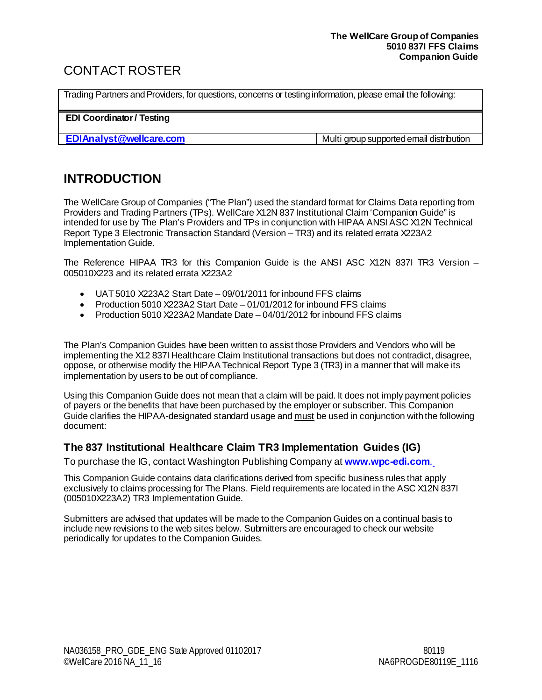# <span id="page-4-0"></span>CONTACT ROSTER

Trading Partners and Providers, for questions, concerns or testing information, please email the following:

**EDI Coordinator/ Testing**

**EDIAnalyst @wellcare.com** Multi group supported email distribution

# <span id="page-4-1"></span>**INTRODUCTION**

The WellCare Group of Companies ("The Plan") used the standard format for Claims Data reporting from Providers and Trading Partners (TPs). WellCare X12N 837 Institutional Claim 'Companion Guide" is intended for use by The Plan's Providers and TPs in conjunction with HIPAA ANSI ASC X12N Technical Report Type 3 Electronic Transaction Standard (Version – TR3) and its related errata X223A2 Implementation Guide.

The Reference HIPAA TR3 for this Companion Guide is the ANSI ASC X12N 837I TR3 Version – 005010X223 and its related errata X223A2

- UAT 5010 X223A2 Start Date 09/01/2011 for inbound FFS claims
- Production 5010 X223A2 Start Date 01/01/2012 for inbound FFS claims
- Production 5010 X223A2 Mandate Date 04/01/2012 for inbound FFS claims

The Plan's Companion Guides have been written to assist those Providers and Vendors who will be implementing the X12 837I Healthcare Claim Institutional transactions but does not contradict, disagree, oppose, or otherwise modify the HIPAA Technical Report Type 3 (TR3) in a manner that will make its implementation by users to be out of compliance.

Using this Companion Guide does not mean that a claim will be paid. It does not imply payment policies of payers or the benefits that have been purchased by the employer or subscriber. This Companion Guide clarifies the HIPAA-designated standard usage and must be used in conjunction with the following document:

# <span id="page-4-2"></span>**The 837 Institutional Healthcare Claim TR3 Implementation Guides (IG)**

To purchase the IG, contact Washington Publishing Company at **www.wpc-edi.com**.

This Companion Guide contains data clarifications derived from specific business rules that apply exclusively to claims processing for The Plans. Field requirements are located in the ASC X12N 837I (005010X223A2) TR3 Implementation Guide.

Submitters are advised that updates will be made to the Companion Guides on a continual basis to include new revisions to the web sites below. Submitters are encouraged to check our website periodically for updates to the Companion Guides.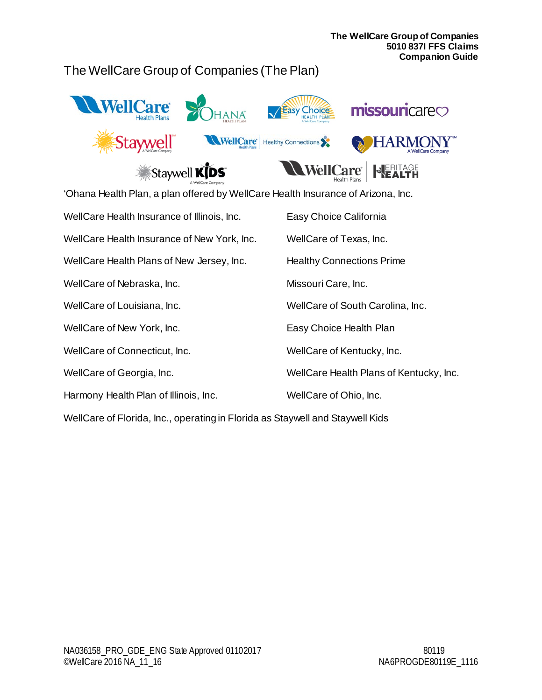# <span id="page-5-0"></span>The WellCare Group of Companies (The Plan)







| 'Ohana Health Plan, a plan offered by WellCare Health Insurance of Arizona, Inc. |                                         |  |  |  |  |
|----------------------------------------------------------------------------------|-----------------------------------------|--|--|--|--|
| WellCare Health Insurance of Illinois, Inc.                                      | Easy Choice California                  |  |  |  |  |
| WellCare Health Insurance of New York, Inc.                                      | WellCare of Texas, Inc.                 |  |  |  |  |
| WellCare Health Plans of New Jersey, Inc.                                        | <b>Healthy Connections Prime</b>        |  |  |  |  |
| WellCare of Nebraska, Inc.                                                       | Missouri Care, Inc.                     |  |  |  |  |
| WellCare of Louisiana, Inc.                                                      | WellCare of South Carolina, Inc.        |  |  |  |  |
| WellCare of New York, Inc.                                                       | Easy Choice Health Plan                 |  |  |  |  |
| WellCare of Connecticut, Inc.                                                    | WellCare of Kentucky, Inc.              |  |  |  |  |
| WellCare of Georgia, Inc.                                                        | WellCare Health Plans of Kentucky, Inc. |  |  |  |  |
| Harmony Health Plan of Illinois, Inc.                                            | WellCare of Ohio, Inc.                  |  |  |  |  |

WellCare of Florida, Inc., operating in Florida as Staywell and Staywell Kids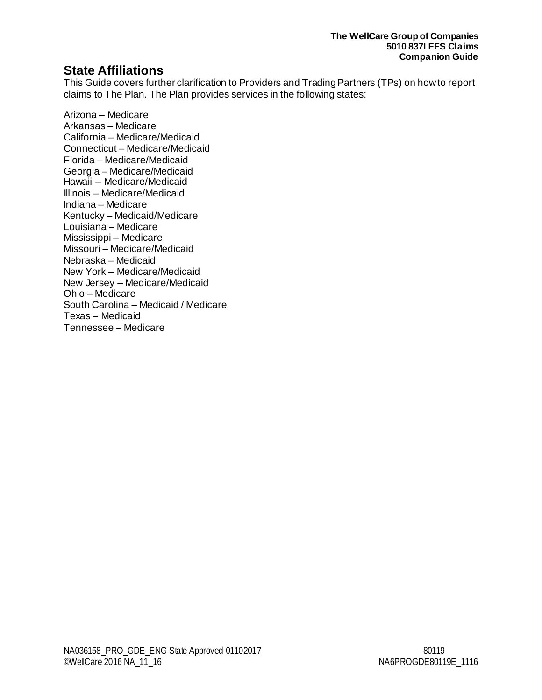# <span id="page-6-0"></span>**State Affiliations**

This Guide covers further clarification to Providers and Trading Partners (TPs) on how to report claims to The Plan. The Plan provides services in the following states:

Arizona – Medicare Arkansas – Medicare California – Medicare/Medicaid Connecticut – Medicare/Medicaid Florida – Medicare/Medicaid Georgia – Medicare/Medicaid Hawaii – Medicare/Medicaid Illinois – Medicare/Medicaid Indiana – Medicare Kentucky – Medicaid/Medicare Louisiana – Medicare Mississippi – Medicare Missouri – Medicare/Medicaid Nebraska – Medicaid New York – Medicare/Medicaid New Jersey – Medicare/Medicaid Ohio – Medicare South Carolina – Medicaid / Medicare Texas – Medicaid Tennessee – Medicare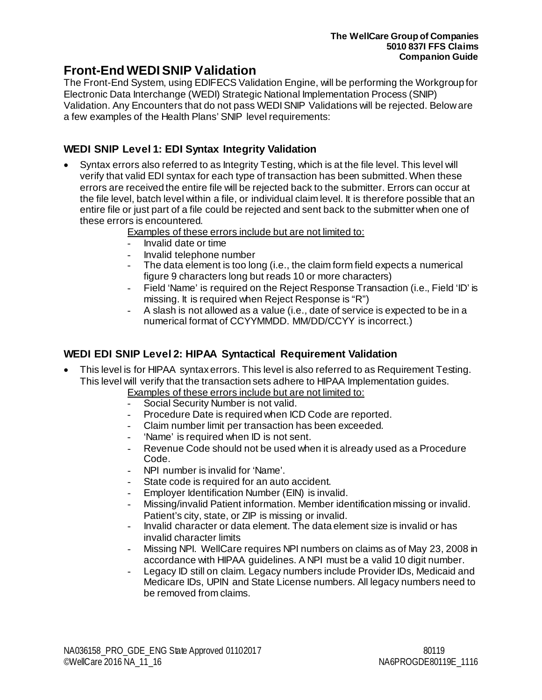# <span id="page-7-0"></span>**Front-End WEDI SNIP Validation**

The Front-End System, using EDIFECS Validation Engine, will be performing the Workgroup for Electronic Data Interchange (WEDI) Strategic National Implementation Process (SNIP) Validation. Any Encounters that do not pass WEDI SNIP Validations will be rejected. Below are a few examples of the Health Plans' SNIP level requirements:

# <span id="page-7-1"></span>**WEDI SNIP Level 1: EDI Syntax Integrity Validation**

- Syntax errors also referred to as Integrity Testing, which is at the file level. This level will verify that valid EDI syntax for each type of transaction has been submitted. When these errors are received the entire file will be rejected back to the submitter. Errors can occur at the file level, batch level within a file, or individual claim level. It is therefore possible that an entire file or just part of a file could be rejected and sent back to the submitter when one of these errors is encountered.
	- Examples of these errors include but are not limited to:
		- Invalid date or time
		- Invalid telephone number
		- The data element is too long (i.e., the claim form field expects a numerical figure 9 characters long but reads 10 or more characters)
		- Field 'Name' is required on the Reject Response Transaction (i.e., Field 'ID' is missing. It is required when Reject Response is "R")
		- A slash is not allowed as a value (i.e., date of service is expected to be in a numerical format of CCYYMMDD. MM/DD/CCYY is incorrect.)

# <span id="page-7-2"></span>**WEDI EDI SNIP Level 2: HIPAA Syntactical Requirement Validation**

- This level is for HIPAA syntax errors. This level is also referred to as Requirement Testing. This level will verify that the transaction sets adhere to HIPAA Implementation guides.
	- Examples of these errors include but are not limited to:
		- Social Security Number is not valid.
		- Procedure Date is required when ICD Code are reported.
	- Claim number limit per transaction has been exceeded.
	- 'Name' is required when ID is not sent.
	- Revenue Code should not be used when it is already used as a Procedure Code.
	- NPI number is invalid for 'Name'.
	- State code is required for an auto accident.
	- Employer Identification Number (EIN) is invalid.
	- Missing/invalid Patient information. Member identification missing or invalid. Patient's city, state, or ZIP is missing or invalid.
	- Invalid character or data element. The data element size is invalid or has invalid character limits
	- Missing NPI. WellCare requires NPI numbers on claims as of May 23, 2008 in accordance with HIPAA guidelines. A NPI must be a valid 10 digit number.
	- Legacy ID still on claim. Legacy numbers include Provider IDs, Medicaid and Medicare IDs, UPIN and State License numbers. All legacy numbers need to be removed from claims.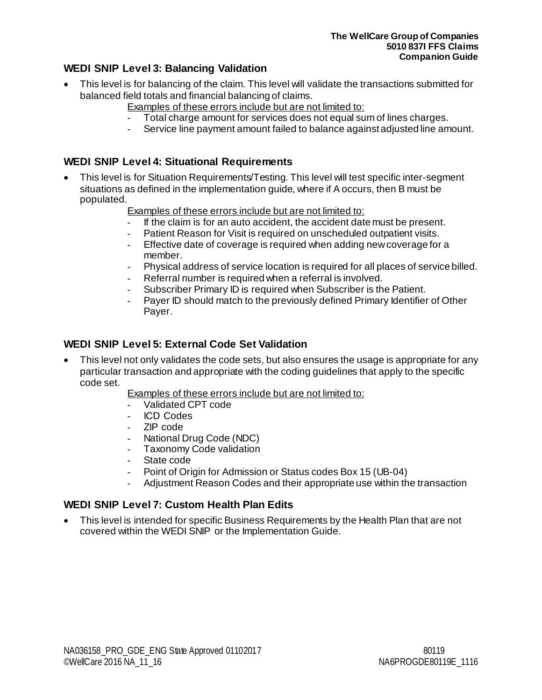# <span id="page-8-0"></span>**WEDI SNIP Level 3: Balancing Validation**

- This level is for balancing of the claim. This level will validate the transactions submitted for balanced field totals and financial balancing of claims.
	- Examples of these errors include but are not limited to:
	- Total charge amount for services does not equal sum of lines charges.
	- Service line payment amount failed to balance against adjusted line amount.

# <span id="page-8-1"></span>**WEDI SNIP Level 4: Situational Requirements**

- This level is for Situation Requirements/Testing. This level will test specific inter-segment situations as defined in the implementation guide, where if A occurs, then B must be populated.
	- Examples of these errors include but are not limited to:
	- If the claim is for an auto accident, the accident date must be present.
	- Patient Reason for Visit is required on unscheduled outpatient visits.
	- Effective date of coverage is required when adding new coverage for a member.
	- Physical address of service location is required for all places of service billed.
	- Referral number is required when a referral is involved.
	- Subscriber Primary ID is required when Subscriber is the Patient.
	- Payer ID should match to the previously defined Primary Identifier of Other Payer.

# <span id="page-8-2"></span>**WEDI SNIP Level 5: External Code Set Validation**

• This level not only validates the code sets, but also ensures the usage is appropriate for any particular transaction and appropriate with the coding guidelines that apply to the specific code set.

Examples of these errors include but are not limited to:

- Validated CPT code
- ICD Codes
- ZIP code
- National Drug Code (NDC)
- Taxonomy Code validation
- State code
- Point of Origin for Admission or Status codes Box 15 (UB-04)
- Adjustment Reason Codes and their appropriate use within the transaction

### <span id="page-8-3"></span>**WEDI SNIP Level 7: Custom Health Plan Edits**

• This level is intended for specific Business Requirements by the Health Plan that are not covered within the WEDI SNIP or the Implementation Guide.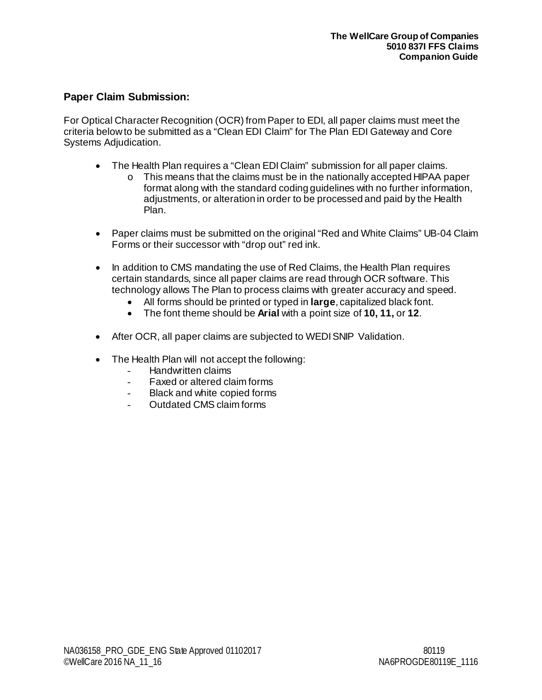# <span id="page-9-0"></span>**Paper Claim Submission:**

For Optical Character Recognition (OCR) from Paper to EDI, all paper claims must meet the criteria below to be submitted as a "Clean EDI Claim" for The Plan EDI Gateway and Core Systems Adjudication.

- The Health Plan requires a "Clean EDI Claim" submission for all paper claims.
	- o This means that the claims must be in the nationally accepted HIPAA paper format along with the standard coding guidelines with no further information, adjustments, or alteration in order to be processed and paid by the Health Plan.
- Paper claims must be submitted on the original "Red and White Claims" UB-04 Claim Forms or their successor with "drop out" red ink.
- In addition to CMS mandating the use of Red Claims, the Health Plan requires certain standards, since all paper claims are read through OCR software. This technology allows The Plan to process claims with greater accuracy and speed.
	- All forms should be printed or typed in **large**, capitalized black font.
	- The font theme should be **Arial** with a point size of **10, 11,** or **12**.
- After OCR, all paper claims are subjected to WEDI SNIP Validation.
- The Health Plan will not accept the following:
	- Handwritten claims
	- Faxed or altered claim forms
	- Black and white copied forms
	- Outdated CMS claim forms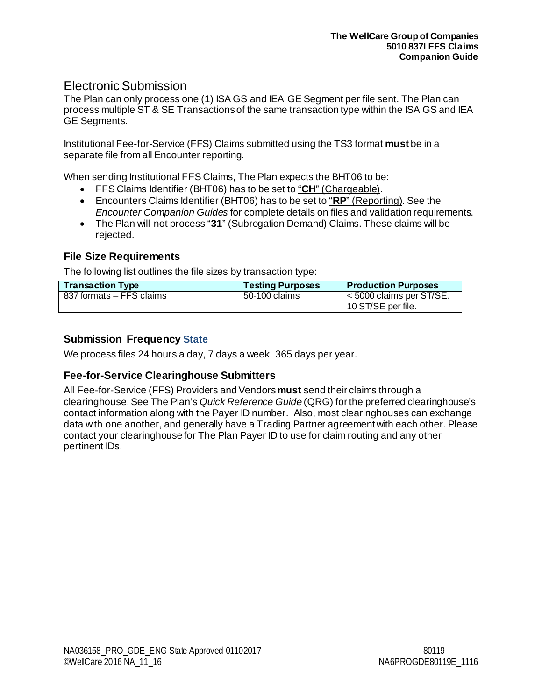# <span id="page-10-0"></span>Electronic Submission

The Plan can only process one (1) ISA GS and IEA GE Segment per file sent. The Plan can process multiple ST & SE Transactions of the same transaction type within the ISA GS and IEA GE Segments.

Institutional Fee-for-Service (FFS) Claims submitted using the TS3 format **must** be in a separate file from all Encounter reporting.

When sending Institutional FFS Claims, The Plan expects the BHT06 to be:

- FFS Claims Identifier (BHT06) has to be set to "**CH**" (Chargeable).
- Encounters Claims Identifier (BHT06) has to be set to "**RP**" (Reporting). See the *Encounter Companion Guides* for complete details on files and validation requirements.
- The Plan will not process "**31**" (Subrogation Demand) Claims. These claims will be rejected.

# <span id="page-10-1"></span>**File Size Requirements**

The following list outlines the file sizes by transaction type:

| <b>Transaction Type</b>  | <b>Testing Purposes</b> | <b>Production Purposes</b>                          |
|--------------------------|-------------------------|-----------------------------------------------------|
| 837 formats – FFS claims | 50-100 claims           | $\leq 5000$ claims per ST/SE.<br>10 ST/SE per file. |

# <span id="page-10-2"></span>**Submission Frequency State**

<span id="page-10-3"></span>We process files 24 hours a day, 7 days a week, 365 days per year.

### **Fee-for-Service Clearinghouse Submitters**

All Fee-for-Service (FFS) Providers and Vendors **must** send their claims through a clearinghouse. See The Plan's *Quick Reference Guide* (QRG) for the preferred clearinghouse's contact information along with the Payer ID number. Also, most clearinghouses can exchange data with one another, and generally have a Trading Partner agreement with each other. Please contact your clearinghouse for The Plan Payer ID to use for claim routing and any other pertinent IDs.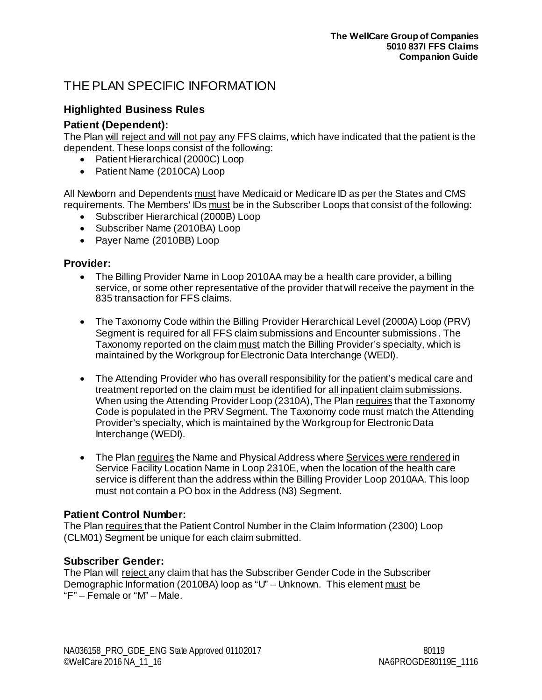# <span id="page-11-0"></span>THE PLAN SPECIFIC INFORMATION

# <span id="page-11-1"></span>**Highlighted Business Rules**

# <span id="page-11-2"></span>**Patient (Dependent):**

The Plan will reject and will not pay any FFS claims, which have indicated that the patient is the dependent. These loops consist of the following:

- Patient Hierarchical (2000C) Loop
- Patient Name (2010CA) Loop

All Newborn and Dependents must have Medicaid or Medicare ID as per the States and CMS requirements. The Members' IDs must be in the Subscriber Loops that consist of the following:

- Subscriber Hierarchical (2000B) Loop
- Subscriber Name (2010BA) Loop
- Payer Name (2010BB) Loop

### <span id="page-11-3"></span>**Provider:**

- The Billing Provider Name in Loop 2010AA may be a health care provider, a billing service, or some other representative of the provider that will receive the payment in the 835 transaction for FFS claims.
- The Taxonomy Code within the Billing Provider Hierarchical Level (2000A) Loop (PRV) Segment is required for all FFS claim submissions and Encounter submissions . The Taxonomy reported on the claim must match the Billing Provider's specialty, which is maintained by the Workgroup for Electronic Data Interchange (WEDI).
- The Attending Provider who has overall responsibility for the patient's medical care and treatment reported on the claim must be identified for all inpatient claim submissions. When using the Attending Provider Loop (2310A), The Plan requires that the Taxonomy Code is populated in the PRV Segment. The Taxonomy code must match the Attending Provider's specialty, which is maintained by the Workgroup for Electronic Data Interchange (WEDI).
- The Plan requires the Name and Physical Address where Services were rendered in Service Facility Location Name in Loop 2310E, when the location of the health care service is different than the address within the Billing Provider Loop 2010AA. This loop must not contain a PO box in the Address (N3) Segment.

# <span id="page-11-4"></span>**Patient Control Number:**

The Plan requires that the Patient Control Number in the Claim Information (2300) Loop (CLM01) Segment be unique for each claim submitted.

# <span id="page-11-5"></span>**Subscriber Gender:**

The Plan will reject any claim that has the Subscriber Gender Code in the Subscriber Demographic Information (2010BA) loop as "U" – Unknown. This element must be "F" – Female or "M" – Male.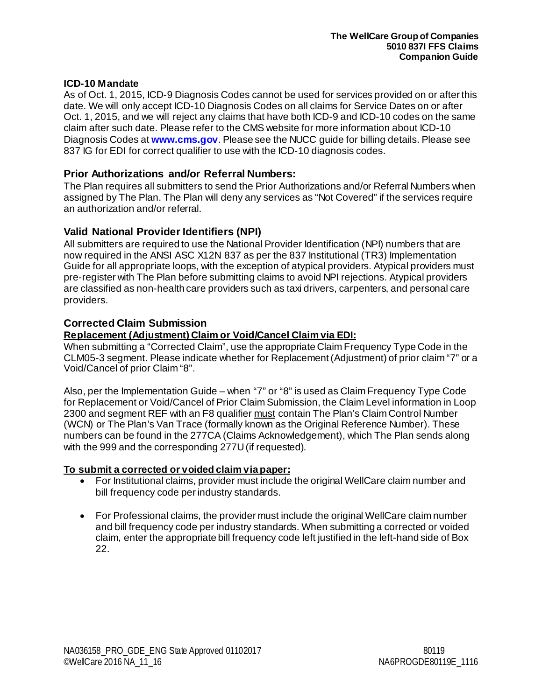#### <span id="page-12-0"></span>**ICD-10 Mandate**

As of Oct. 1, 2015, ICD-9 Diagnosis Codes cannot be used for services provided on or after this date. We will only accept ICD-10 Diagnosis Codes on all claims for Service Dates on or after Oct. 1, 2015, and we will reject any claims that have both ICD-9 and ICD-10 codes on the same claim after such date. Please refer to the CMS website for more information about ICD-10 Diagnosis Codes at **[www.cms.gov](http://www.cms.gov/)**. Please see the NUCC guide for billing details. Please see 837 IG for EDI for correct qualifier to use with the ICD-10 diagnosis codes.

#### <span id="page-12-1"></span>**Prior Authorizations and/or Referral Numbers:**

The Plan requires all submitters to send the Prior Authorizations and/or Referral Numbers when assigned by The Plan. The Plan will deny any services as "Not Covered" if the services require an authorization and/or referral.

#### <span id="page-12-2"></span>**Valid National Provider Identifiers (NPI)**

All submitters are required to use the National Provider Identification (NPI) numbers that are now required in the ANSI ASC X12N 837 as per the 837 Institutional (TR3) Implementation Guide for all appropriate loops, with the exception of atypical providers. Atypical providers must pre-register with The Plan before submitting claims to avoid NPI rejections. Atypical providers are classified as non-health care providers such as taxi drivers, carpenters, and personal care providers.

#### <span id="page-12-3"></span>**Corrected Claim Submission**

#### **Replacement (Adjustment) Claim or Void/Cancel Claim via EDI:**

When submitting a "Corrected Claim", use the appropriate Claim Frequency Type Code in the CLM05-3 segment. Please indicate whether for Replacement (Adjustment) of prior claim "7" or a Void/Cancel of prior Claim "8".

Also, per the Implementation Guide – when "7" or "8" is used as Claim Frequency Type Code for Replacement or Void/Cancel of Prior Claim Submission, the Claim Level information in Loop 2300 and segment REF with an F8 qualifier must contain The Plan's Claim Control Number (WCN) or The Plan's Van Trace (formally known as the Original Reference Number). These numbers can be found in the 277CA (Claims Acknowledgement), which The Plan sends along with the 999 and the corresponding 277U (if requested).

#### **To submit a corrected or voided claim via paper:**

- For Institutional claims, provider must include the original WellCare claim number and bill frequency code per industry standards.
- For Professional claims, the provider must include the original WellCare claim number and bill frequency code per industry standards. When submitting a corrected or voided claim, enter the appropriate bill frequency code left justified in the left-hand side of Box 22.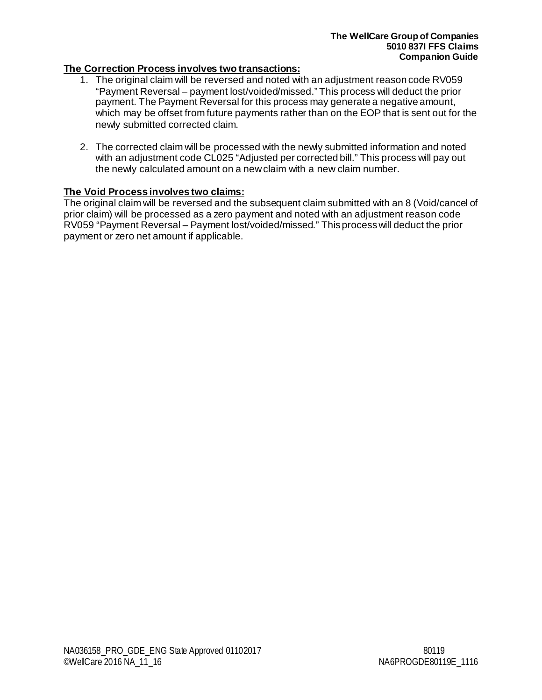### **The Correction Process involves two transactions:**

- 1. The original claim will be reversed and noted with an adjustment reason code RV059 "Payment Reversal – payment lost/voided/missed." This process will deduct the prior payment. The Payment Reversal for this process may generate a negative amount, which may be offset from future payments rather than on the EOP that is sent out for the newly submitted corrected claim.
- 2. The corrected claim will be processed with the newly submitted information and noted with an adjustment code CL025 "Adjusted per corrected bill." This process will pay out the newly calculated amount on a new claim with a new claim number.

### **The Void Process involves two claims:**

The original claim will be reversed and the subsequent claim submitted with an 8 (Void/cancel of prior claim) will be processed as a zero payment and noted with an adjustment reason code RV059 "Payment Reversal – Payment lost/voided/missed." This process will deduct the prior payment or zero net amount if applicable.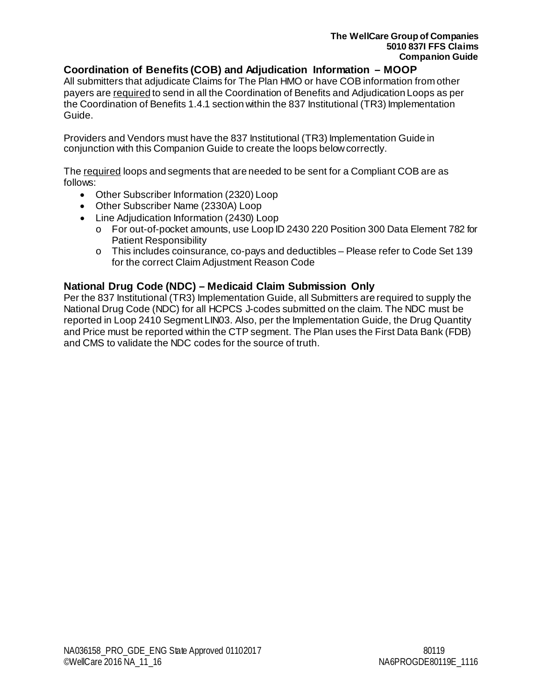### <span id="page-14-0"></span>**Coordination of Benefits (COB) and Adjudication Information – MOOP**

All submitters that adjudicate Claims for The Plan HMO or have COB information from other payers are required to send in all the Coordination of Benefits and Adjudication Loops as per the Coordination of Benefits 1.4.1 section within the 837 Institutional (TR3) Implementation Guide.

Providers and Vendors must have the 837 Institutional (TR3) Implementation Guide in conjunction with this Companion Guide to create the loops below correctly.

The required loops and segments that are needed to be sent for a Compliant COB are as follows:

- Other Subscriber Information (2320) Loop
- Other Subscriber Name (2330A) Loop
- Line Adjudication Information (2430) Loop
	- o For out-of-pocket amounts, use Loop ID 2430 220 Position 300 Data Element 782 for Patient Responsibility
	- o This includes coinsurance, co-pays and deductibles Please refer to Code Set 139 for the correct Claim Adjustment Reason Code

### <span id="page-14-1"></span>**National Drug Code (NDC) – Medicaid Claim Submission Only**

Per the 837 Institutional (TR3) Implementation Guide, all Submitters are required to supply the National Drug Code (NDC) for all HCPCS J-codes submitted on the claim. The NDC must be reported in Loop 2410 Segment LIN03. Also, per the Implementation Guide, the Drug Quantity and Price must be reported within the CTP segment. The Plan uses the First Data Bank (FDB) and CMS to validate the NDC codes for the source of truth.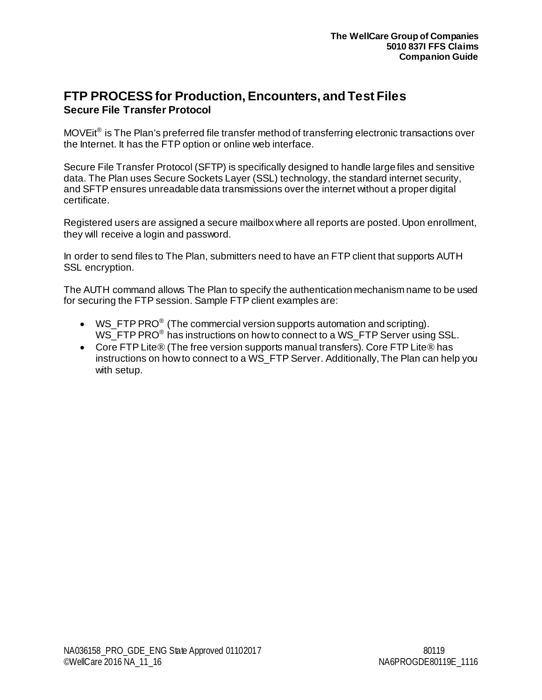# <span id="page-15-1"></span><span id="page-15-0"></span>**FTP PROCESS for Production, Encounters, and Test Files Secure File Transfer Protocol**

MOVEit® is The Plan's preferred file transfer method of transferring electronic transactions over the Internet. It has the FTP option or online web interface.

Secure File Transfer Protocol (SFTP) is specifically designed to handle large files and sensitive data. The Plan uses Secure Sockets Layer (SSL) technology, the standard internet security, and SFTP ensures unreadable data transmissions over the internet without a proper digital certificate.

Registered users are assigned a secure mailbox where all reports are posted. Upon enrollment, they will receive a login and password.

In order to send files to The Plan, submitters need to have an FTP client that supports AUTH SSL encryption.

The AUTH command allows The Plan to specify the authentication mechanism name to be used for securing the FTP session. Sample FTP client examples are:

- WS FTP PRO<sup>®</sup> (The commercial version supports automation and scripting). WS FTP PRO<sup>®</sup> has instructions on how to connect to a WS FTP Server using SSL.
- Core FTP Lite® (The free version supports manual transfers). Core FTP Lite® has instructions on how to connect to a WS\_FTP Server. Additionally, The Plan can help you with setup.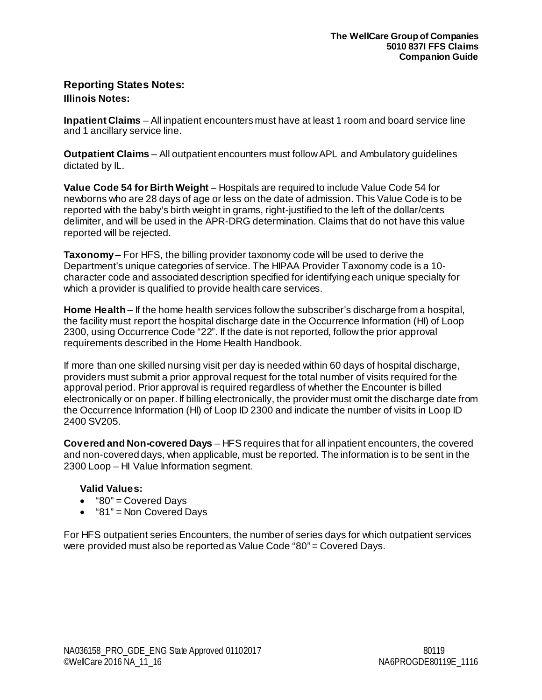# <span id="page-16-1"></span><span id="page-16-0"></span>**Reporting States Notes: Illinois Notes:**

**Inpatient Claims** – All inpatient encounters must have at least 1 room and board service line and 1 ancillary service line.

**Outpatient Claims** – All outpatient encounters must follow APL and Ambulatory guidelines dictated by IL.

**Value Code 54 for Birth Weight** – Hospitals are required to include Value Code 54 for newborns who are 28 days of age or less on the date of admission. This Value Code is to be reported with the baby's birth weight in grams, right-justified to the left of the dollar/cents delimiter, and will be used in the APR-DRG determination. Claims that do not have this value reported will be rejected.

**Taxonomy** – For HFS, the billing provider taxonomy code will be used to derive the Department's unique categories of service. The HIPAA Provider Taxonomy code is a 10 character code and associated description specified for identifying each unique specialty for which a provider is qualified to provide health care services.

**Home Health** – If the home health services follow the subscriber's discharge from a hospital, the facility must report the hospital discharge date in the Occurrence Information (HI) of Loop 2300, using Occurrence Code "22". If the date is not reported, follow the prior approval requirements described in the Home Health Handbook.

If more than one skilled nursing visit per day is needed within 60 days of hospital discharge, providers must submit a prior approval request for the total number of visits required for the approval period. Prior approval is required regardless of whether the Encounter is billed electronically or on paper. If billing electronically, the provider must omit the discharge date from the Occurrence Information (HI) of Loop ID 2300 and indicate the number of visits in Loop ID 2400 SV205.

**Covered and Non-covered Days** – HFS requires that for all inpatient encounters, the covered and non-covered days, when applicable, must be reported. The information is to be sent in the 2300 Loop – HI Value Information segment.

### **Valid Values:**

- "80" = Covered Days
- "81" = Non Covered Days

For HFS outpatient series Encounters, the number of series days for which outpatient services were provided must also be reported as Value Code "80" = Covered Days.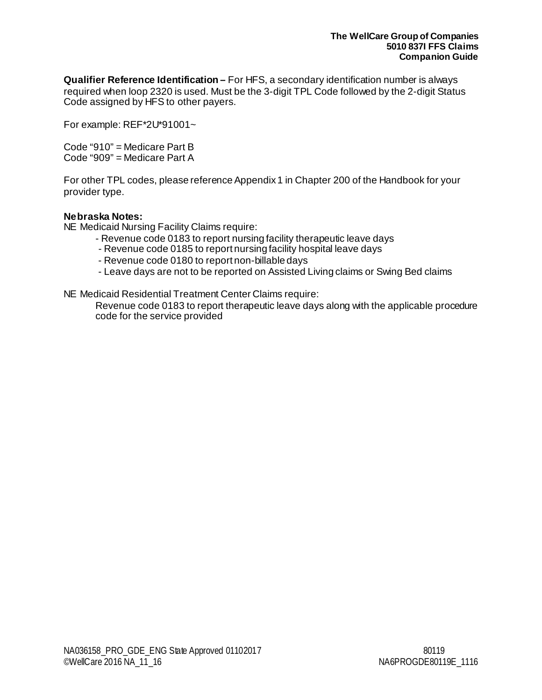**Qualifier Reference Identification –** For HFS, a secondary identification number is always required when loop 2320 is used. Must be the 3-digit TPL Code followed by the 2-digit Status Code assigned by HFS to other payers.

For example: REF\*2U\*91001~

Code "910" = Medicare Part B Code "909" = Medicare Part A

For other TPL codes, please reference Appendix 1 in Chapter 200 of the Handbook for your provider type.

#### <span id="page-17-0"></span>**Nebraska Notes:**

NE Medicaid Nursing Facility Claims require:

- Revenue code 0183 to report nursing facility therapeutic leave days
- Revenue code 0185 to report nursing facility hospital leave days
- Revenue code 0180 to report non-billable days
- Leave days are not to be reported on Assisted Living claims or Swing Bed claims

NE Medicaid Residential Treatment Center Claims require:

Revenue code 0183 to report therapeutic leave days along with the applicable procedure code for the service provided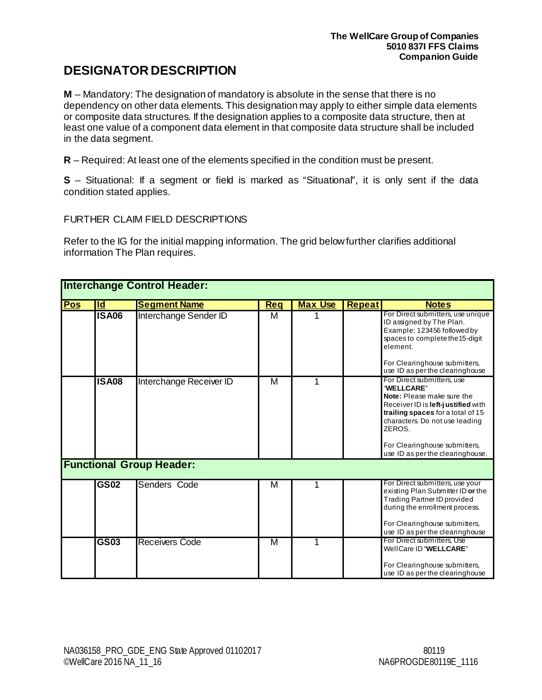# <span id="page-18-0"></span>**DESIGNATOR DESCRIPTION**

**M** – Mandatory: The designation of mandatory is absolute in the sense that there is no dependency on other data elements. This designation may apply to either simple data elements or composite data structures. If the designation applies to a composite data structure, then at least one value of a component data element in that composite data structure shall be included in the data segment.

**R** – Required: At least one of the elements specified in the condition must be present.

**S** – Situational: If a segment or field is marked as "Situational", it is only sent if the data condition stated applies.

#### <span id="page-18-1"></span>FURTHER CLAIM FIELD DESCRIPTIONS

Refer to the IG for the initial mapping information. The grid below further clarifies additional information The Plan requires.

|     | <b>Interchange Control Header:</b> |                                 |            |                |               |                                                                                                                                                                                                                                                                    |  |
|-----|------------------------------------|---------------------------------|------------|----------------|---------------|--------------------------------------------------------------------------------------------------------------------------------------------------------------------------------------------------------------------------------------------------------------------|--|
| Pos | $\overline{\mathsf{Id}}$           | <b>Segment Name</b>             | <b>Reg</b> | <b>Max Use</b> | <b>Repeat</b> | <b>Notes</b>                                                                                                                                                                                                                                                       |  |
|     | <b>ISA06</b>                       | Interchange Sender ID           | м          |                |               | For Direct submitters, use unique<br>ID assigned by The Plan.<br>Example: 123456 followed by<br>spaces to complete the 15-digit<br>element.<br>For Clearinghouse submitters,<br>use ID as per the clearinghouse                                                    |  |
|     | <b>ISA08</b>                       | Interchange Receiver ID         | M          | 1              |               | For Direct submitters, use<br>"WELLCARE"<br>Note: Please make sure the<br>Receiver ID is left-justified with<br>trailing spaces for a total of 15<br>characters. Do not use leading<br>ZEROS.<br>For Clearinghouse submitters,<br>use ID as per the clearinghouse. |  |
|     |                                    | <b>Functional Group Header:</b> |            |                |               |                                                                                                                                                                                                                                                                    |  |
|     | <b>GS02</b>                        | Senders Code                    | М          |                |               | For Direct submitters, use your<br>existing Plan Submitter ID or the<br><b>Trading Partner ID provided</b><br>during the enrollment process.<br>For Clearinghouse submitters,<br>use ID as per the clearinghouse                                                   |  |
|     | <b>GS03</b>                        | Receivers Code                  | M          | 1              |               | For Direct submitters, Use<br>WellCare ID "WELLCARE"<br>For Clearinghouse submitters,<br>use ID as per the clearinghouse                                                                                                                                           |  |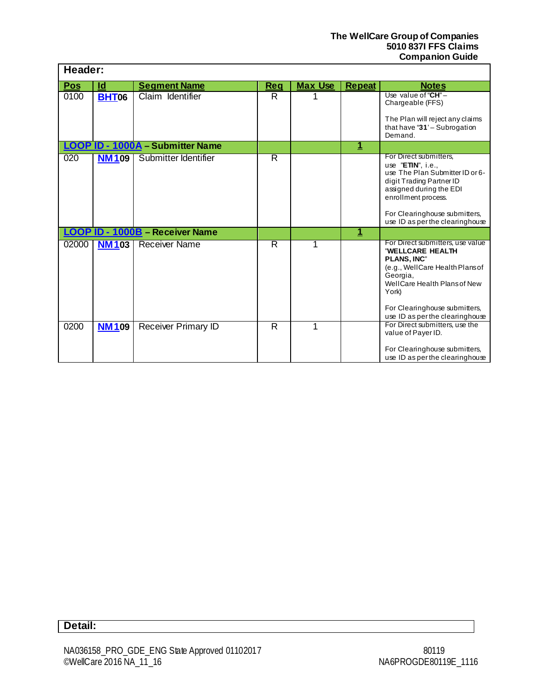| Header:    |              |                                         |     |                |               |                                                                                                                                                                                                                                       |
|------------|--------------|-----------------------------------------|-----|----------------|---------------|---------------------------------------------------------------------------------------------------------------------------------------------------------------------------------------------------------------------------------------|
| <b>Pos</b> | <u>ld</u>    | <b>Segment Name</b>                     | Reg | <b>Max Use</b> | <b>Repeat</b> | <b>Notes</b>                                                                                                                                                                                                                          |
| 0100       | <b>BHT06</b> | Claim Identifier                        | R   |                |               | Use value of " $CH" -$<br>Chargeable (FFS)<br>The Plan will reject any claims<br>that have " $31'$ - Subrogation<br>Demand.                                                                                                           |
|            |              | <b>LOOP ID - 1000A - Submitter Name</b> |     |                | <u>1</u>      |                                                                                                                                                                                                                                       |
| 020        | <b>NM109</b> | Submitter Identifier                    | R   |                |               | For Direct submitters,<br>use $"E\pi N"$ , i.e.,<br>use The Plan Submitter ID or 6-<br>digit Trading Partner ID<br>assigned during the EDI<br>enrollment process.<br>For Clearinghouse submitters,<br>use ID as per the clearinghouse |
|            |              | LOOP ID - 1000B - Receiver Name         |     |                | 1             |                                                                                                                                                                                                                                       |
| 02000      | <b>NM103</b> | <b>Receiver Name</b>                    | R   |                |               | For Direct submitters, use value<br>"WELLCARE HEALTH<br><b>PLANS, INC"</b><br>(e.g., WellCare Health Plansof<br>Georgia,<br>WellCare Health Plans of New<br>York)<br>For Clearinghouse submitters,<br>use ID as per the clearinghouse |
| 0200       | <b>NM109</b> | <b>Receiver Primary ID</b>              | R   | 1              |               | For Direct submitters, use the<br>value of Payer ID.                                                                                                                                                                                  |
|            |              |                                         |     |                |               | For Clearinghouse submitters,<br>use ID as per the clearinghouse                                                                                                                                                                      |

# **Detail:**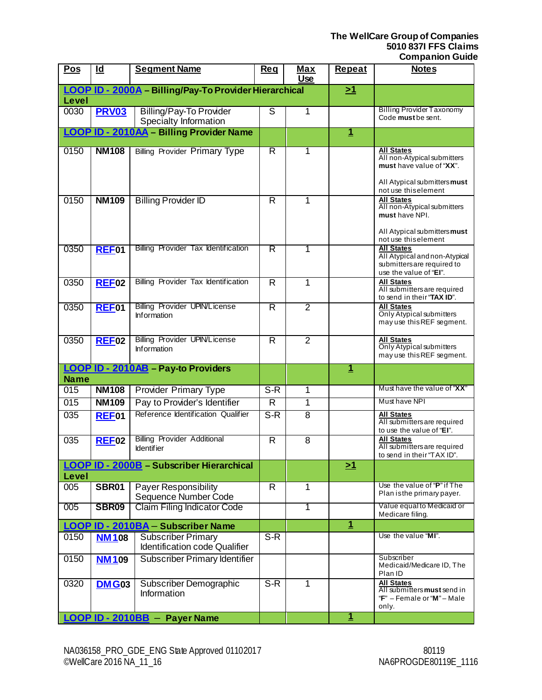| <b>Pos</b>       | $\overline{\mathsf{Id}}$ | <b>Segment Name</b>                                        | <b>Reg</b>              | <u>Max</u><br><b>Use</b> | <b>Repeat</b>           | <b>Notes</b>                                                                                       |
|------------------|--------------------------|------------------------------------------------------------|-------------------------|--------------------------|-------------------------|----------------------------------------------------------------------------------------------------|
|                  |                          | LOOP ID - 2000A - Billing/Pay-To Provider Hierarchical     |                         |                          | $\geq 1$                |                                                                                                    |
| Level            |                          |                                                            |                         |                          |                         |                                                                                                    |
| 0030             | <b>PRV03</b>             | <b>Billing/Pay-To Provider</b><br>Specialty Information    | S                       | 1                        |                         | <b>Billing Provider Taxonomy</b><br>Code must be sent.                                             |
|                  |                          | <b>LOOP ID - 2010AA - Billing Provider Name</b>            |                         |                          | <u>1</u>                |                                                                                                    |
| 0150             | <b>NM108</b>             | <b>Billing Provider Primary Type</b>                       | R                       | 1                        |                         | <b>All States</b><br>All non-Atypical submitters<br>must have value of "XX".                       |
|                  |                          |                                                            |                         |                          |                         | All Atypical submitters must<br>not use this element                                               |
| 0150             | <b>NM109</b>             | <b>Billing Provider ID</b>                                 | $\overline{\mathsf{R}}$ | 1                        |                         | <b>All States</b><br>All non-Atypical submitters<br>must have NPI.<br>All Atypical submitters must |
|                  |                          | <b>Billing Provider Tax Identification</b>                 |                         |                          |                         | not use this element<br><b>All States</b>                                                          |
| 0350             | REF <sub>01</sub>        |                                                            | R                       | 1                        |                         | All Atypical and non-Atypical<br>submitters are required to<br>use the value of "EI".              |
| 0350             | <b>REF02</b>             | Billing Provider Tax Identification                        | $\overline{\mathsf{R}}$ | 1                        |                         | <b>All States</b><br>All submitters are required<br>to send in their "TAX ID".                     |
| 0350             | REF01                    | <b>Billing Provider UPIN/License</b><br><b>Information</b> | R                       | $\overline{2}$           |                         | <b>All States</b><br>Only Atypical submitters<br>may use this REF segment.                         |
| 0350             | REF <sub>02</sub>        | <b>Billing Provider UPIN/License</b><br><b>Information</b> | $\overline{\mathsf{R}}$ | $\overline{2}$           |                         | <b>All States</b><br><b>Only Atypical submitters</b><br>may use this REF segment.                  |
|                  |                          | LOOP ID - 2010AB - Pay-to Providers                        |                         |                          | $\mathbf{1}$            |                                                                                                    |
| <b>Name</b>      |                          |                                                            |                         |                          |                         | Must have the value of "XX"                                                                        |
| $\overline{015}$ | <b>NM108</b>             | <b>Provider Primary Type</b>                               | $S-R$                   | 1                        |                         |                                                                                                    |
| 015              | <b>NM109</b>             | Pay to Provider's Identifier                               | $\overline{R}$          | 1                        |                         | Must have NPI                                                                                      |
| $\overline{035}$ | REF <sub>01</sub>        | Reference Identification Qualifier                         | $S-R$                   | $\overline{8}$           |                         | <b>All States</b><br>All submitters are required<br>to use the value of "EI".                      |
| $\overline{035}$ | <b>REF02</b>             | <b>Billing Provider Additional</b><br><b>Identifier</b>    | $\overline{\mathsf{R}}$ | $\overline{8}$           |                         | <b>All States</b><br>All submitters are required<br>to send in their "TAX ID".                     |
|                  |                          | <b>LOOP ID - 2000B - Subscriber Hierarchical</b>           |                         |                          | <u>&gt;1</u>            |                                                                                                    |
| Level            |                          |                                                            |                         |                          |                         |                                                                                                    |
| 005              | SBR01                    | Payer Responsibility<br>Sequence Number Code               | R                       | 1                        |                         | Use the value of "P" if The<br>Plan is the primary payer.                                          |
| 005              | <b>SBR09</b>             | <b>Claim Filing Indicator Code</b>                         |                         | 1                        |                         | Value equal to Medicaid or<br>Medicare filing.                                                     |
|                  |                          | LOOP ID - 2010BA - Subscriber Name                         |                         |                          | $\overline{1}$          |                                                                                                    |
| 0150             | <b>NM108</b>             | <b>Subscriber Primary</b><br>Identification code Qualifier | $S-R$                   |                          |                         | Use the value "MI".                                                                                |
| 0150             | <b>NM109</b>             | Subscriber Primary Identifier                              |                         |                          |                         | Subscriber<br>Medicaid/Medicare ID, The<br>Plan ID                                                 |
| 0320             | <b>DMG03</b>             | Subscriber Demographic<br>Information                      | $S-R$                   | 1                        |                         | <b>All States</b><br>All submitters must send in<br>" $F$ " – Female or "M" – Male<br>only.        |
|                  |                          | LOOP ID - 2010BB - Payer Name                              |                         |                          | $\overline{\mathbf{1}}$ |                                                                                                    |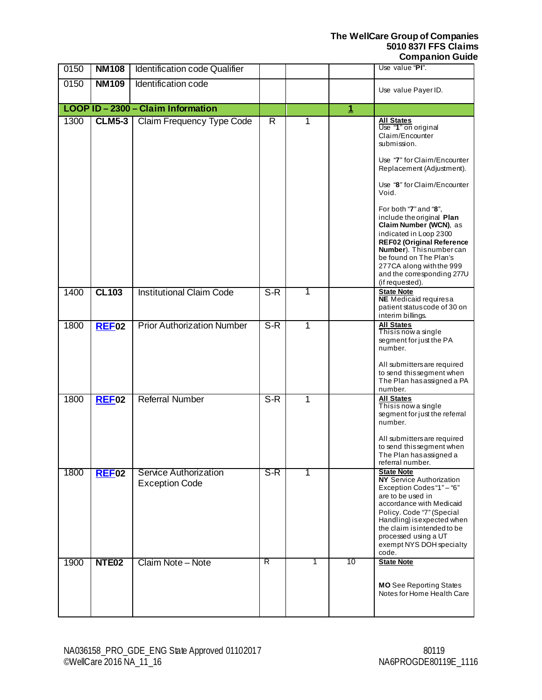<span id="page-21-0"></span>

| 0150 | <b>NM108</b>      | Identification code Qualifier                  |                |   |              | Use value "PI".                                                                                                                                                                                                                                                                                                                                                                                                                                               |
|------|-------------------|------------------------------------------------|----------------|---|--------------|---------------------------------------------------------------------------------------------------------------------------------------------------------------------------------------------------------------------------------------------------------------------------------------------------------------------------------------------------------------------------------------------------------------------------------------------------------------|
| 0150 | <b>NM109</b>      | Identification code                            |                |   |              | Use value Payer ID.                                                                                                                                                                                                                                                                                                                                                                                                                                           |
|      |                   | LOOP ID - 2300 - Claim Information             |                |   | $\mathbf{1}$ |                                                                                                                                                                                                                                                                                                                                                                                                                                                               |
| 1300 | <b>CLM5-3</b>     | Claim Frequency Type Code                      | $\overline{R}$ | 1 |              | <b>All States</b><br>Use "1" on original<br>Claim/Encounter<br>submission.<br>Use "7" for Claim/Encounter<br>Replacement (Adjustment).<br>Use "8" for Claim/Encounter<br>Void.<br>For both "7" and "8",<br>include the original Plan<br>Claim Number (WCN), as<br>indicated in Loop 2300<br><b>REF02 (Original Reference</b><br>Number). Thisnumbercan<br>be found on The Plan's<br>277CA along with the 999<br>and the corresponding 277U<br>(if requested). |
| 1400 | <b>CL103</b>      | <b>Institutional Claim Code</b>                | $S-R$          | 1 |              | <b>State Note</b><br><b>NE</b> Medicaid requiresa<br>patient status code of 30 on<br>interim billings.                                                                                                                                                                                                                                                                                                                                                        |
| 1800 | <b>REF02</b>      | <b>Prior Authorization Number</b>              | $S-R$          | 1 |              | <b>All States</b><br>Thisis now a single<br>segment for just the PA<br>number.<br>All submitters are required<br>to send this segment when<br>The Plan has assigned a PA<br>number.                                                                                                                                                                                                                                                                           |
| 1800 | <b>REF02</b>      | <b>Referral Number</b>                         | $S-R$          | 1 |              | <b>All States</b><br>Thisis now a single<br>segment for just the referral<br>number.<br>All submitters are required<br>to send this segment when<br>The Plan has assigned a<br>referral number.                                                                                                                                                                                                                                                               |
| 1800 | REF02             | Service Authorization<br><b>Exception Code</b> | $S-R$          |   |              | <b>State Note</b><br><b>NY Service Authorization</b><br>Exception Codes "1" - "6"<br>are to be used in<br>accordance with Medicaid<br>Policy. Code "7" (Special<br>Handling) is expected when<br>the claim is intended to be<br>processed using a UT<br>exempt NYS DOH specialty<br>code.                                                                                                                                                                     |
| 1900 | NTE <sub>02</sub> | Claim Note - Note                              | R              | 1 | 10           | <b>State Note</b><br><b>MO</b> See Reporting States<br>Notes for Home Health Care                                                                                                                                                                                                                                                                                                                                                                             |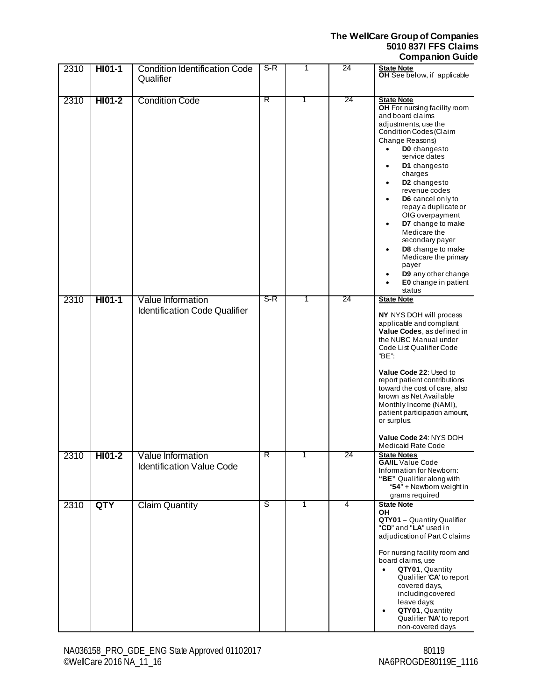| 2310 | HI01-1 | <b>Condition Identification Code</b><br>Qualifier         | $S-R$ | 1 | 24 | <b>State Note</b><br>OH See below, if applicable                                                                                                                                                                                                                                                                                                                                                                                                                                                                                                                              |
|------|--------|-----------------------------------------------------------|-------|---|----|-------------------------------------------------------------------------------------------------------------------------------------------------------------------------------------------------------------------------------------------------------------------------------------------------------------------------------------------------------------------------------------------------------------------------------------------------------------------------------------------------------------------------------------------------------------------------------|
| 2310 | HI01-2 | <b>Condition Code</b>                                     | R     | 1 | 24 | <b>State Note</b><br>OH For nursing facility room<br>and board claims<br>adjustments, use the<br>Condition Codes (Claim<br>Change Reasons)<br>DO changesto<br>$\bullet$<br>service dates<br>D1 changesto<br>$\bullet$<br>charges<br>D <sub>2</sub> changesto<br>$\bullet$<br>revenue codes<br>D6 cancel only to<br>$\bullet$<br>repay a duplicate or<br>OIG overpayment<br>D7 change to make<br>$\bullet$<br>Medicare the<br>secondary payer<br>D8 change to make<br>٠<br>Medicare the primary<br>payer<br>D9 any other change<br>E0 change in patient<br>$\bullet$<br>status |
| 2310 | HI01-1 | Value Information<br><b>Identification Code Qualifier</b> | S-R   | 1 | 24 | <b>State Note</b><br>NY NYS DOH will process<br>applicable and compliant<br>Value Codes, as defined in<br>the NUBC Manual under<br>Code List Qualifier Code<br>"BE":<br>Value Code 22: Used to<br>report patient contributions<br>toward the cost of care, also<br>known as Net Available<br>Monthly Income (NAMI),<br>patient participation amount,<br>or surplus.<br>Value Code 24: NYS DOH<br><b>Medicaid Rate Code</b>                                                                                                                                                    |
| 2310 | HI01-2 | Value Information<br><b>Identification Value Code</b>     | R     | 1 | 24 | <b>State Notes</b><br><b>GA/IL</b> Value Code<br>Information for Newborn:<br>"BE" Qualifier along with<br>"54" + Newborn weight in<br>grams required                                                                                                                                                                                                                                                                                                                                                                                                                          |
| 2310 | QTY    | <b>Claim Quantity</b>                                     | S     | 1 | 4  | <b>State Note</b><br>ΟH<br>QTY01 - Quantity Qualifier<br>"CD" and "LA" used in<br>adjudication of Part C claims<br>For nursing facility room and<br>board claims, use<br>QTY01, Quantity<br>$\bullet$<br>Qualifier 'CA' to report<br>covered days,<br>including covered<br>leave days;<br>QTY01, Quantity<br>٠<br>Qualifier 'NA' to report<br>non-covered days                                                                                                                                                                                                                |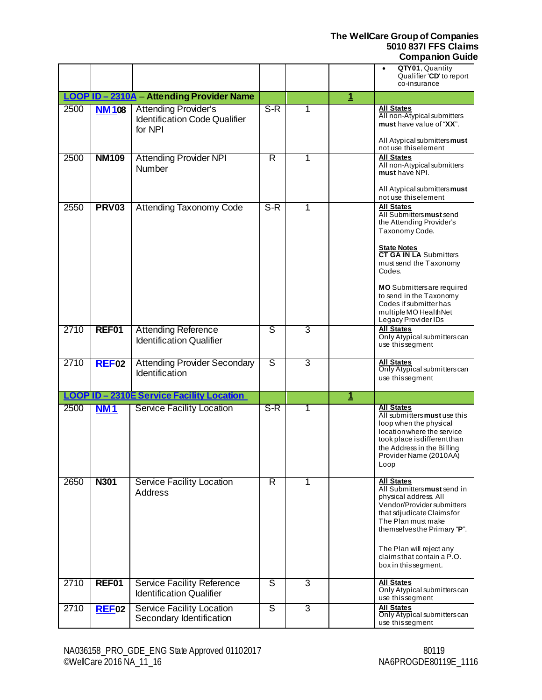|      |              |                                                                                |       |                |                | QTY01, Quantity<br>Qualifier 'CD' to report                                                                                                                                                                                                                                                                              |
|------|--------------|--------------------------------------------------------------------------------|-------|----------------|----------------|--------------------------------------------------------------------------------------------------------------------------------------------------------------------------------------------------------------------------------------------------------------------------------------------------------------------------|
|      |              |                                                                                |       |                |                | co-insurance                                                                                                                                                                                                                                                                                                             |
|      |              | LOOP ID - 2310A - Attending Provider Name                                      |       |                | $\overline{1}$ |                                                                                                                                                                                                                                                                                                                          |
| 2500 | <b>NM108</b> | <b>Attending Provider's</b><br><b>Identification Code Qualifier</b><br>for NPI | $S-R$ | 1              |                | All States<br>All non-Atypical submitters<br>must have value of "XX".<br>All Atypical submitters must<br>not use this element                                                                                                                                                                                            |
| 2500 | <b>NM109</b> | <b>Attending Provider NPI</b><br><b>Number</b>                                 | R     | 1              |                | <b>All States</b><br>All non-Atypical submitters<br>must have NPI.<br>All Atypical submitters must<br>not use this element                                                                                                                                                                                               |
| 2550 | <b>PRV03</b> | <b>Attending Taxonomy Code</b>                                                 | $S-R$ | 1              |                | <b>All States</b><br>All Submitters must send<br>the Attending Provider's<br>Taxonomy Code.<br><b>State Notes</b><br><b>CT GA IN LA Submitters</b><br>must send the Taxonomy<br>Codes.<br>MO Submittersare required<br>to send in the Taxonomy<br>Codes if submitter has<br>multiple MO HealthNet<br>Legacy Provider IDs |
| 2710 | REF01        | <b>Attending Reference</b><br><b>Identification Qualifier</b>                  | ड     | 3              |                | <b>All States</b><br>Only Atypical submitters can<br>use thissegment                                                                                                                                                                                                                                                     |
| 2710 | <b>REF02</b> | <b>Attending Provider Secondary</b><br>Identification                          | ड     | $\overline{3}$ |                | <b>All States</b><br>Only Atypical submitters can<br>use this segment                                                                                                                                                                                                                                                    |
|      |              | LOOP ID-2310E Service Facility Location                                        |       |                | $\mathbf 1$    |                                                                                                                                                                                                                                                                                                                          |
| 2500 | <b>NM1</b>   | <b>Service Facility Location</b>                                               | S-R   | 1              |                | <b>All States</b><br>All submitters must use this<br>loop when the physical<br>location where the service<br>took place is different than<br>the Address in the Billing<br>Provider Name (2010AA)<br>Loop                                                                                                                |
| 2650 | <b>N301</b>  | <b>Service Facility Location</b><br><b>Address</b>                             | R     | 1              |                | <b>All States</b><br>All Submitters must send in<br>physical address. All<br>Vendor/Provider submitters<br>that sdjudicate Claimsfor<br>The Plan must make<br>themselves the Primary "P".<br>The Plan will reject any<br>claimsthat contain a P.O.<br>box in this segment.                                               |
| 2710 | REF01        | <b>Service Facility Reference</b><br><b>Identification Qualifier</b>           | S     | 3              |                | All States<br>Only Atypical submitters can<br>use thissegment                                                                                                                                                                                                                                                            |
| 2710 | $REF$ 02     | <b>Service Facility Location</b><br>Secondary Identification                   | S     | 3              |                | All States<br>Only Atypical submitters can<br>use thissegment                                                                                                                                                                                                                                                            |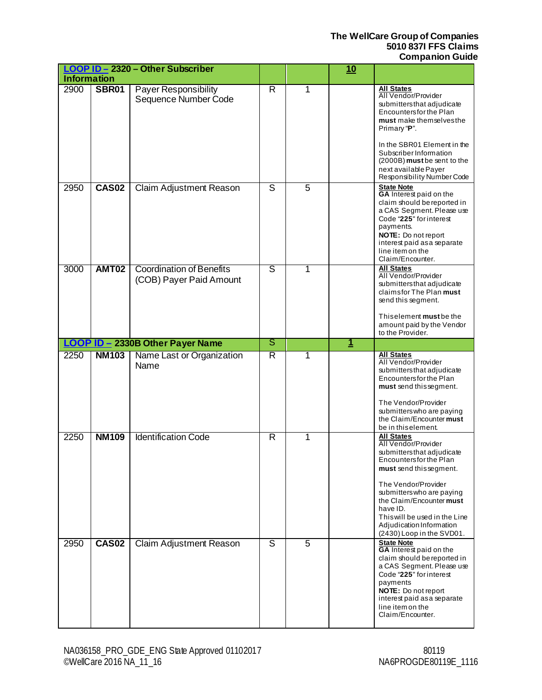|                    |              | LOOP ID - 2320 - Other Subscriber                          |                |                | <u>10</u>   |                                                                                                                                                                                                                                                                                                                          |
|--------------------|--------------|------------------------------------------------------------|----------------|----------------|-------------|--------------------------------------------------------------------------------------------------------------------------------------------------------------------------------------------------------------------------------------------------------------------------------------------------------------------------|
| <b>Information</b> |              |                                                            |                |                |             |                                                                                                                                                                                                                                                                                                                          |
| 2900               | <b>SBR01</b> | Payer Responsibility<br>Sequence Number Code               | $\overline{R}$ | 1              |             | <b>All States</b><br>All Vendor/Provider<br>submitters that adjudicate<br>Encountersfor the Plan<br>must make themselves the<br>Primary "P".<br>In the SBR01 Element in the<br>Subscriber Information<br>(2000B) must be sent to the<br>next available Payer<br>Responsibility Number Code                               |
| 2950               | <b>CAS02</b> | Claim Adjustment Reason                                    | S              | $\overline{5}$ |             | <b>State Note</b><br><b>GA</b> Interest paid on the<br>claim should be reported in<br>a CAS Segment. Please use<br>Code "225" for interest<br>payments.<br><b>NOTE:</b> Do not report<br>interest paid as a separate<br>line item on the<br>Claim/Encounter.                                                             |
| 3000               | <b>AMT02</b> | <b>Coordination of Benefits</b><br>(COB) Payer Paid Amount | S              | 1              |             | <b>All States</b><br>All Vendor/Provider<br>submitters that adjudicate<br>claimsfor The Plan must<br>send this segment.<br>Thiselement must be the<br>amount paid by the Vendor<br>to the Provider.                                                                                                                      |
|                    |              | LOOP ID - 2330B Other Payer Name                           | ड              |                | $\mathbf 1$ |                                                                                                                                                                                                                                                                                                                          |
| 2250               | <b>NM103</b> | Name Last or Organization<br>Name                          | R              | 1              |             | <b>All States</b><br>All Vendor/Provider<br>submitters that adjudicate<br>Encountersfor the Plan<br>must send this segment.<br>The Vendor/Provider<br>submitters who are paying<br>the Claim/Encounter must<br>be in this element.                                                                                       |
| 2250               | <b>NM109</b> | <b>Identification Code</b>                                 | R              | 1              |             | <b>All States</b><br>All Vendor/Provider<br>submitters that adjudicate<br><b>Encountersfor the Plan</b><br>must send this segment.<br>The Vendor/Provider<br>submitters who are paying<br>the Claim/Encounter must<br>have ID.<br>This will be used in the Line<br>Adjudication Information<br>(2430) Loop in the SVD01. |
| 2950               | <b>CAS02</b> | Claim Adjustment Reason                                    | ड              | $\overline{5}$ |             | State Note<br>GA Interest paid on the<br>claim should be reported in<br>a CAS Segment. Please use<br>Code "225" for interest<br>payments<br>NOTE: Do not report<br>interest paid as a separate<br>line item on the<br>Claim/Encounter.                                                                                   |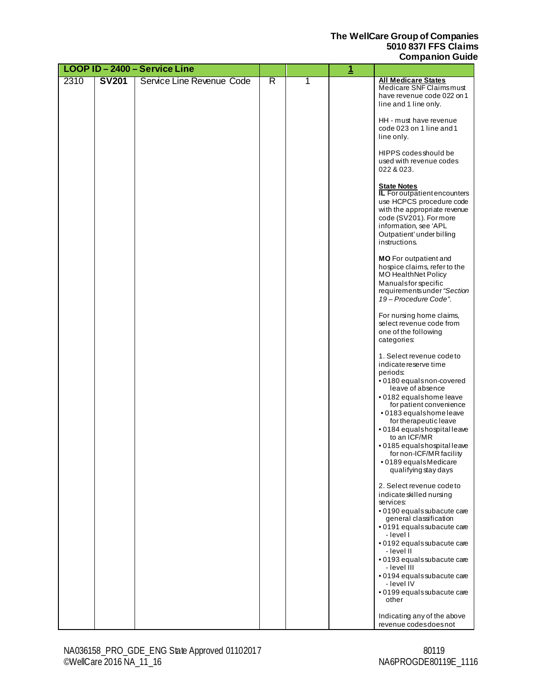|      |              | LOOP ID-2400-Service Line |   |   | $\overline{1}$ |                                                                                                                                                                                                                                                                                                                                                                                  |
|------|--------------|---------------------------|---|---|----------------|----------------------------------------------------------------------------------------------------------------------------------------------------------------------------------------------------------------------------------------------------------------------------------------------------------------------------------------------------------------------------------|
| 2310 | <b>SV201</b> | Service Line Revenue Code | R | 1 |                | <b>All Medicare States</b><br>Medicare SNF Claimsmust<br>have revenue code 022 on 1<br>line and 1 line only.                                                                                                                                                                                                                                                                     |
|      |              |                           |   |   |                | HH - must have revenue<br>code 023 on 1 line and 1<br>line only.                                                                                                                                                                                                                                                                                                                 |
|      |              |                           |   |   |                | HIPPS codes should be<br>used with revenue codes<br>022 & 023.                                                                                                                                                                                                                                                                                                                   |
|      |              |                           |   |   |                | <b>State Notes</b><br><b>IL</b> For outpatient encounters<br>use HCPCS procedure code<br>with the appropriate revenue<br>code (SV201). For more<br>information, see 'APL<br>Outpatient' under billing<br>instructions.                                                                                                                                                           |
|      |              |                           |   |   |                | MO For outpatient and<br>hospice claims, refer to the<br><b>MO HealthNet Policy</b><br>Manualsfor specific<br>requirements under "Section<br>19 - Procedure Code".                                                                                                                                                                                                               |
|      |              |                           |   |   |                | For nursing home claims,<br>select revenue code from<br>one of the following<br>categories:                                                                                                                                                                                                                                                                                      |
|      |              |                           |   |   |                | 1. Select revenue codeto<br>indicate reserve time<br>periods:<br>· 0180 equalsnon-covered<br>leave of absence<br>.0182 equalshome leave<br>for patient convenience<br>• 0183 equalshome leave<br>for therapeutic leave<br>• 0184 equalshospital leave<br>to an ICF/MR<br>•0185 equalshospital leave<br>for non-ICF/MR facility<br>● 0189 equals Medicare<br>qualifying stay days |
|      |              |                           |   |   |                | 2. Select revenue codeto<br>indicate skilled nursing<br>services:<br>· 0190 equals subacute care<br>general classification<br>· 0191 equals subacute care<br>- level l<br>• 0192 equals subacute care<br>- Ievel II                                                                                                                                                              |
|      |              |                           |   |   |                | • 0193 equals subacute care<br>- level III<br>• 0194 equals subacute care<br>- level IV<br>· 0199 equals subacute care<br>other                                                                                                                                                                                                                                                  |
|      |              |                           |   |   |                | Indicating any of the above<br>revenue codesdoesnot                                                                                                                                                                                                                                                                                                                              |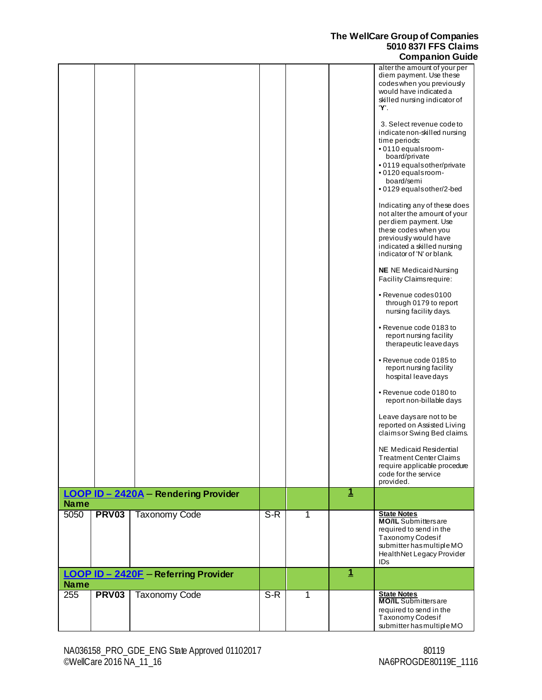|             |              |                                      |       |   |              | $-$ pa                                                       |
|-------------|--------------|--------------------------------------|-------|---|--------------|--------------------------------------------------------------|
|             |              |                                      |       |   |              | alter the amount of your per<br>diem payment. Use these      |
|             |              |                                      |       |   |              | codeswhen you previously<br>would have indicated a           |
|             |              |                                      |       |   |              | skilled nursing indicator of                                 |
|             |              |                                      |       |   |              | Ύ.                                                           |
|             |              |                                      |       |   |              | 3. Select revenue codeto<br>indicate non-skilled nursing     |
|             |              |                                      |       |   |              | time periods:<br>.0110 equalsroom-                           |
|             |              |                                      |       |   |              | board/private<br>• 0119 equals other/private                 |
|             |              |                                      |       |   |              | · 0120 equals room-<br>board/semi                            |
|             |              |                                      |       |   |              | •0129 equals other/2-bed                                     |
|             |              |                                      |       |   |              | Indicating any of these does<br>not alter the amount of your |
|             |              |                                      |       |   |              | per diem payment. Use                                        |
|             |              |                                      |       |   |              | these codes when you<br>previously would have                |
|             |              |                                      |       |   |              | indicated a skilled nursing<br>indicator of 'N' or blank.    |
|             |              |                                      |       |   |              |                                                              |
|             |              |                                      |       |   |              | <b>NE</b> NE Medicaid Nursing<br>Facility Claims require:    |
|             |              |                                      |       |   |              | • Revenue codes0100<br>through 0179 to report                |
|             |              |                                      |       |   |              | nursing facility days.                                       |
|             |              |                                      |       |   |              | • Revenue code 0183 to                                       |
|             |              |                                      |       |   |              | report nursing facility<br>therapeutic leave days            |
|             |              |                                      |       |   |              | • Revenue code 0185 to                                       |
|             |              |                                      |       |   |              | report nursing facility<br>hospital leave days               |
|             |              |                                      |       |   |              | • Revenue code 0180 to<br>report non-billable days           |
|             |              |                                      |       |   |              | Leave daysare not to be                                      |
|             |              |                                      |       |   |              | reported on Assisted Living<br>claims or Swing Bed claims.   |
|             |              |                                      |       |   |              | NE Medicaid Residential                                      |
|             |              |                                      |       |   |              | Treatment Center Claims                                      |
|             |              |                                      |       |   |              | require applicable procedure<br>code for the service         |
|             |              |                                      |       |   |              | provided.                                                    |
| <b>Name</b> |              | LOOP ID - 2420A - Rendering Provider |       |   | $\mathbf 1$  |                                                              |
| 5050        | <b>PRV03</b> | <b>Taxonomy Code</b>                 | $S-R$ | 1 |              | <b>State Notes</b><br><b>MO/IL</b> Submittersare             |
|             |              |                                      |       |   |              | required to send in the<br>Taxonomy Codesif                  |
|             |              |                                      |       |   |              | submitterhasmultipleMO                                       |
|             |              |                                      |       |   |              | HealthNet Legacy Provider<br>ID <sub>s</sub>                 |
| <b>Name</b> |              | LOOP ID - 2420F - Referring Provider |       |   | $\mathbf{1}$ |                                                              |
| 255         | <b>PRV03</b> | <b>Taxonomy Code</b>                 | $S-R$ | 1 |              | <b>State Notes</b><br><b>MO/IL</b> Submittersare             |
|             |              |                                      |       |   |              | required to send in the                                      |
|             |              |                                      |       |   |              | Taxonomy Codesif<br>submitterhasmultipleMO                   |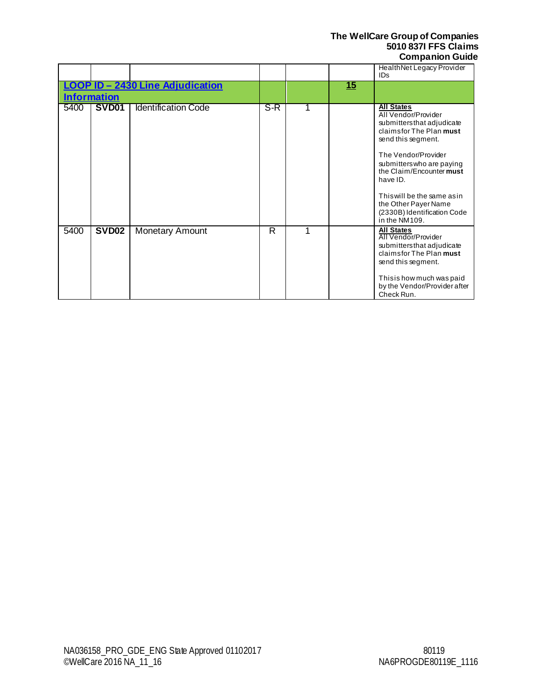|                                                               |                   |                            |     |    | HealthNet Legacy Provider<br><b>IDs</b>                                                                                                                                                                                                                                                                                    |
|---------------------------------------------------------------|-------------------|----------------------------|-----|----|----------------------------------------------------------------------------------------------------------------------------------------------------------------------------------------------------------------------------------------------------------------------------------------------------------------------------|
| <b>LOOP ID - 2430 Line Adjudication</b><br><b>Information</b> |                   |                            |     | 15 |                                                                                                                                                                                                                                                                                                                            |
| 5400                                                          | SVD <sub>01</sub> | <b>Identification Code</b> | S-R |    | <b>All States</b><br>All Vendor/Provider<br>submitters that adjudicate<br>claimsfor The Plan must<br>send this segment.<br>The Vendor/Provider<br>submitters who are paying<br>the Claim/Encounter must<br>have ID.<br>This will be the same as in<br>the Other Payer Name<br>(2330B) Identification Code<br>in the NM109. |
| 5400                                                          | SVD <sub>02</sub> | <b>Monetary Amount</b>     | R   |    | <b>All States</b><br>All Vendor/Provider<br>submitters that adjudicate<br>claimsfor The Plan must<br>send this segment.<br>This is how much was paid<br>by the Vendor/Provider after<br>Check Run.                                                                                                                         |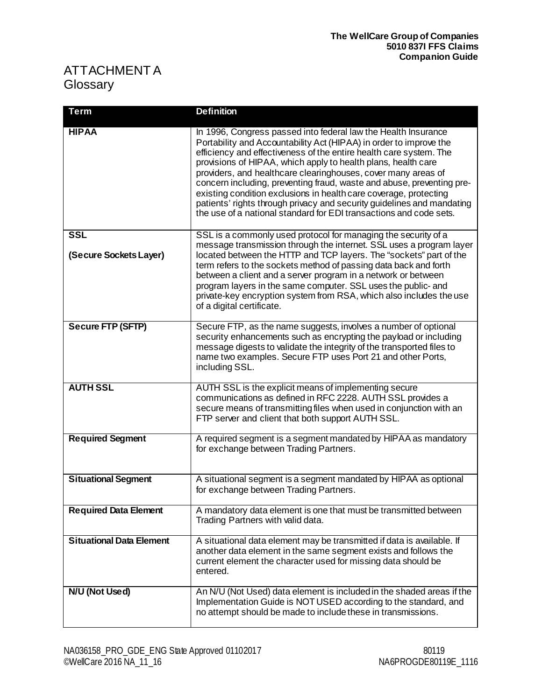# <span id="page-28-1"></span><span id="page-28-0"></span>ATTACHMENT A **Glossary**

| <b>Term</b>                     | <b>Definition</b>                                                                                                                                                                                                                                                                                                                                                                                                                                                                                                                                                                                                                          |
|---------------------------------|--------------------------------------------------------------------------------------------------------------------------------------------------------------------------------------------------------------------------------------------------------------------------------------------------------------------------------------------------------------------------------------------------------------------------------------------------------------------------------------------------------------------------------------------------------------------------------------------------------------------------------------------|
| <b>HIPAA</b>                    | In 1996, Congress passed into federal law the Health Insurance<br>Portability and Accountability Act (HIPAA) in order to improve the<br>efficiency and effectiveness of the entire health care system. The<br>provisions of HIPAA, which apply to health plans, health care<br>providers, and healthcare clearinghouses, cover many areas of<br>concern including, preventing fraud, waste and abuse, preventing pre-<br>existing condition exclusions in health care coverage, protecting<br>patients' rights through privacy and security quidelines and mandating<br>the use of a national standard for EDI transactions and code sets. |
| <b>SSL</b>                      | SSL is a commonly used protocol for managing the security of a<br>message transmission through the internet. SSL uses a program layer                                                                                                                                                                                                                                                                                                                                                                                                                                                                                                      |
| (Secure Sockets Layer)          | located between the HTTP and TCP layers. The "sockets" part of the<br>term refers to the sockets method of passing data back and forth<br>between a client and a server program in a network or between<br>program layers in the same computer. SSL uses the public- and<br>private-key encryption system from RSA, which also includes the use<br>of a digital certificate.                                                                                                                                                                                                                                                               |
| <b>Secure FTP (SFTP)</b>        | Secure FTP, as the name suggests, involves a number of optional<br>security enhancements such as encrypting the payload or including<br>message digests to validate the integrity of the transported files to<br>name two examples. Secure FTP uses Port 21 and other Ports,<br>including SSL.                                                                                                                                                                                                                                                                                                                                             |
| <b>AUTH SSL</b>                 | AUTH SSL is the explicit means of implementing secure<br>communications as defined in RFC 2228. AUTH SSL provides a<br>secure means of transmitting files when used in conjunction with an<br>FTP server and client that both support AUTH SSL.                                                                                                                                                                                                                                                                                                                                                                                            |
| <b>Required Segment</b>         | A required segment is a segment mandated by HIPAA as mandatory<br>for exchange between Trading Partners.                                                                                                                                                                                                                                                                                                                                                                                                                                                                                                                                   |
| <b>Situational Segment</b>      | A situational segment is a segment mandated by HIPAA as optional<br>for exchange between Trading Partners.                                                                                                                                                                                                                                                                                                                                                                                                                                                                                                                                 |
| <b>Required Data Element</b>    | A mandatory data element is one that must be transmitted between<br>Trading Partners with valid data.                                                                                                                                                                                                                                                                                                                                                                                                                                                                                                                                      |
| <b>Situational Data Element</b> | A situational data element may be transmitted if data is available. If<br>another data element in the same segment exists and follows the<br>current element the character used for missing data should be<br>entered.                                                                                                                                                                                                                                                                                                                                                                                                                     |
| N/U (Not Used)                  | An N/U (Not Used) data element is included in the shaded areas if the<br>Implementation Guide is NOT USED according to the standard, and<br>no attempt should be made to include these in transmissions.                                                                                                                                                                                                                                                                                                                                                                                                                                   |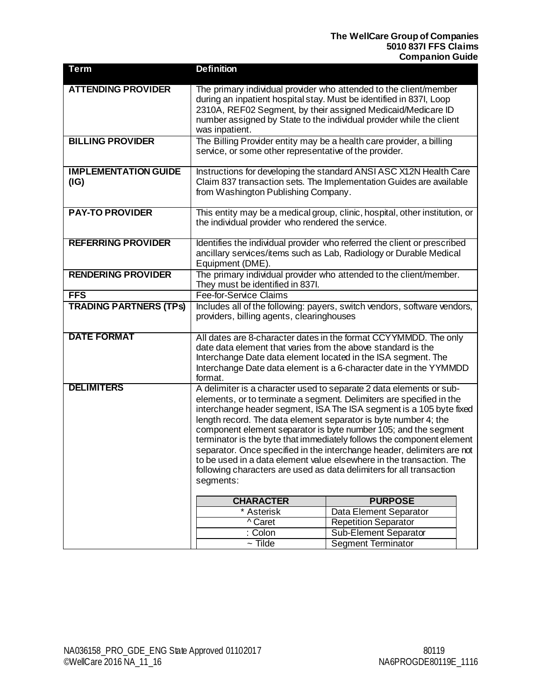| <b>Term</b>                   | <b>Definition</b>                                                                                                                      |                                                                             |  |  |  |
|-------------------------------|----------------------------------------------------------------------------------------------------------------------------------------|-----------------------------------------------------------------------------|--|--|--|
| <b>ATTENDING PROVIDER</b>     | The primary individual provider who attended to the client/member                                                                      |                                                                             |  |  |  |
|                               | during an inpatient hospital stay. Must be identified in 837I, Loop<br>2310A, REF02 Segment, by their assigned Medicaid/Medicare ID    |                                                                             |  |  |  |
|                               | number assigned by State to the individual provider while the client                                                                   |                                                                             |  |  |  |
|                               | was inpatient.                                                                                                                         |                                                                             |  |  |  |
| <b>BILLING PROVIDER</b>       | The Billing Provider entity may be a health care provider, a billing                                                                   |                                                                             |  |  |  |
|                               | service, or some other representative of the provider.                                                                                 |                                                                             |  |  |  |
| <b>IMPLEMENTATION GUIDE</b>   |                                                                                                                                        | Instructions for developing the standard ANSI ASC X12N Health Care          |  |  |  |
| (IG)                          |                                                                                                                                        | Claim 837 transaction sets. The Implementation Guides are available         |  |  |  |
|                               | from Washington Publishing Company.                                                                                                    |                                                                             |  |  |  |
| <b>PAY-TO PROVIDER</b>        |                                                                                                                                        | This entity may be a medical group, clinic, hospital, other institution, or |  |  |  |
|                               | the individual provider who rendered the service.                                                                                      |                                                                             |  |  |  |
| <b>REFERRING PROVIDER</b>     |                                                                                                                                        | Identifies the individual provider who referred the client or prescribed    |  |  |  |
|                               | ancillary services/items such as Lab, Radiology or Durable Medical                                                                     |                                                                             |  |  |  |
|                               | Equipment (DME).                                                                                                                       |                                                                             |  |  |  |
| <b>RENDERING PROVIDER</b>     | The primary individual provider who attended to the client/member.                                                                     |                                                                             |  |  |  |
| <b>FFS</b>                    | They must be identified in 837I.<br>Fee-for-Service Claims                                                                             |                                                                             |  |  |  |
| <b>TRADING PARTNERS (TPS)</b> | Includes all of the following: payers, switch vendors, software vendors,                                                               |                                                                             |  |  |  |
|                               | providers, billing agents, clearinghouses                                                                                              |                                                                             |  |  |  |
|                               |                                                                                                                                        |                                                                             |  |  |  |
| <b>DATE FORMAT</b>            |                                                                                                                                        | All dates are 8-character dates in the format CCYYMMDD. The only            |  |  |  |
|                               | date data element that varies from the above standard is the                                                                           |                                                                             |  |  |  |
|                               | Interchange Date data element located in the ISA segment. The<br>Interchange Date data element is a 6-character date in the YYMMDD     |                                                                             |  |  |  |
|                               | format.                                                                                                                                |                                                                             |  |  |  |
| <b>DELIMITERS</b>             |                                                                                                                                        | A delimiter is a character used to separate 2 data elements or sub-         |  |  |  |
|                               | elements, or to terminate a segment. Delimiters are specified in the                                                                   |                                                                             |  |  |  |
|                               | interchange header segment, ISA The ISA segment is a 105 byte fixed<br>length record. The data element separator is byte number 4; the |                                                                             |  |  |  |
|                               | component element separator is byte number 105; and the segment                                                                        |                                                                             |  |  |  |
|                               | terminator is the byte that immediately follows the component element                                                                  |                                                                             |  |  |  |
|                               | separator. Once specified in the interchange header, delimiters are not                                                                |                                                                             |  |  |  |
|                               | to be used in a data element value elsewhere in the transaction. The                                                                   |                                                                             |  |  |  |
|                               | following characters are used as data delimiters for all transaction<br>segments:                                                      |                                                                             |  |  |  |
|                               |                                                                                                                                        |                                                                             |  |  |  |
|                               | <b>CHARACTER</b>                                                                                                                       | <b>PURPOSE</b>                                                              |  |  |  |
|                               | * Asterisk                                                                                                                             | Data Element Separator                                                      |  |  |  |
|                               | ^ Caret                                                                                                                                | <b>Repetition Separator</b>                                                 |  |  |  |
|                               | : Colon<br>$\sim$ Tilde                                                                                                                | Sub-Element Separator<br><b>Segment Terminator</b>                          |  |  |  |
|                               |                                                                                                                                        |                                                                             |  |  |  |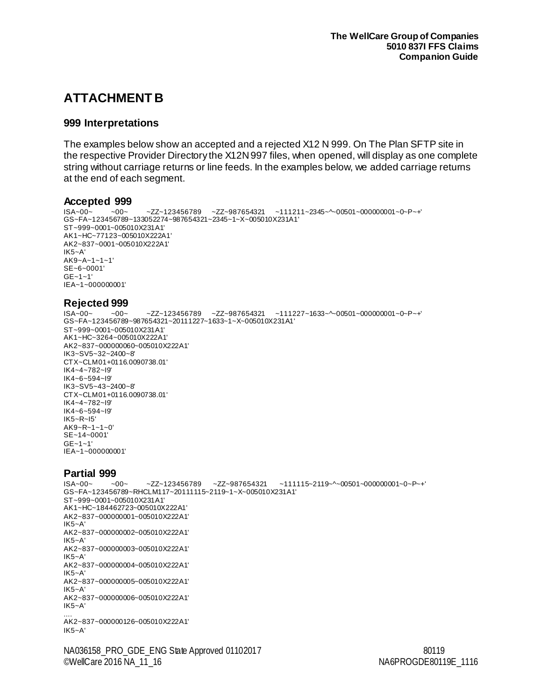# <span id="page-30-0"></span>**ATTACHMENT B**

#### <span id="page-30-1"></span>**999 Interpretations**

The examples below show an accepted and a rejected X12 N 999. On The Plan SFTP site in the respective Provider Directory the X12N 997 files, when opened, will display as one complete string without carriage returns or line feeds. In the examples below, we added carriage returns at the end of each segment.

# <span id="page-30-2"></span>**Accepted 999**<br>ISA~00~ ~00~

```
ZZZ~123456789 ZZ~987654321 ~11211~2345~\sim~00501~\sim~00000001~\sim~0~\sim~P~\sim~+1GS~FA~123456789~133052274~987654321~2345~1~X~005010X231A1'
ST~999~0001~005010X231A1'
AK1~HC~77123~005010X222A1'
AK2~837~0001~005010X222A1'
IK5~A'
AK9~A~1~1~1'
SE~6~0001'
GF - 1 - 1'IEA~1~000000001'
Rejected 999
                     -ZZ~123456789 -ZZ~987654321 ~111227~1633~ ~ 00501 ~ 00000001 ~ 0~P~+'
GS~FA~123456789~987654321~20111227~1633~1~X~005010X231A1'
ST~999~0001~005010X231A1'
AK1~HC~3264~005010X222A1'
AK2~837~000000060~005010X222A1'
IK3~SV5~32~2400~8'
CTX~CLM01+0116.0090738.01'
IK4~4~782~I9'
IK4~6~594~I9'
IK3~SV5~43~2400~8'
CTX~CLM01+0116.0090738.01'
IK4~4~782~I9'
IK4~6~594~I9'
IK5~R~I5'
AK9~R~1~1~0'
SE~14~0001'
GE~1~1'
```
IEA~1~000000001'

# <span id="page-30-4"></span>**Partial 999**

 $-ZZ~123456789$  ~ZZ~987654321 ~111115~2119~^~00501~000000001~0~P~+' GS~FA~123456789~RHCLM117~20111115~2119~1~X~005010X231A1' ST~999~0001~005010X231A1' AK1~HC~184462723~005010X222A1' AK2~837~000000001~005010X222A1' IK5~A' AK2~837~000000002~005010X222A1' IK5~A' AK2~837~000000003~005010X222A1' IK5~A' AK2~837~000000004~005010X222A1' IK5~A' AK2~837~000000005~005010X222A1' IK5~A' AK2~837~000000006~005010X222A1'  $IK5 - A'$ .... AK2~837~000000126~005010X222A1' IK5~A'

NA036158\_PRO\_GDE\_ENG State Approved 01102017 Shang and the state of the state and the state of the state and the state and the state and the state and the state and the state and the state and the state and the state and t ©WellCare 2016 NA\_11\_16 NA6PROGDE80119E\_1116